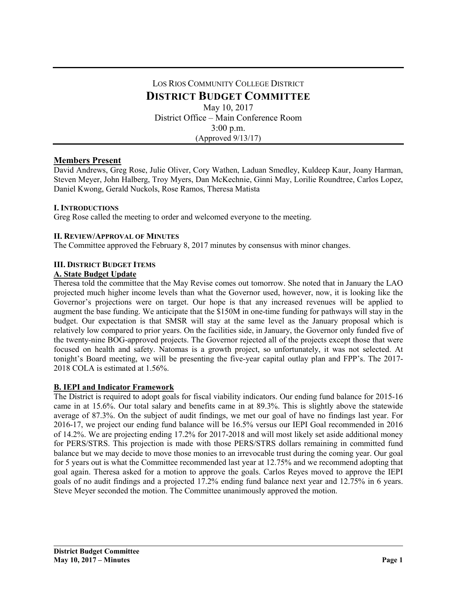# LOS RIOS COMMUNITY COLLEGE DISTRICT **DISTRICT BUDGET COMMITTEE** May 10, 2017 District Office – Main Conference Room 3:00 p.m. (Approved 9/13/17)

## **Members Present**

David Andrews, Greg Rose, Julie Oliver, Cory Wathen, Laduan Smedley, Kuldeep Kaur, Joany Harman, Steven Meyer, John Halberg, Troy Myers, Dan McKechnie, Ginni May, Lorilie Roundtree, Carlos Lopez, Daniel Kwong, Gerald Nuckols, Rose Ramos, Theresa Matista

## **I. INTRODUCTIONS**

Greg Rose called the meeting to order and welcomed everyone to the meeting.

### **II. REVIEW/APPROVAL OF MINUTES**

The Committee approved the February 8, 2017 minutes by consensus with minor changes.

### **III. DISTRICT BUDGET ITEMS**

### **A. State Budget Update**

Theresa told the committee that the May Revise comes out tomorrow. She noted that in January the LAO projected much higher income levels than what the Governor used, however, now, it is looking like the Governor's projections were on target. Our hope is that any increased revenues will be applied to augment the base funding. We anticipate that the \$150M in one-time funding for pathways will stay in the budget. Our expectation is that SMSR will stay at the same level as the January proposal which is relatively low compared to prior years. On the facilities side, in January, the Governor only funded five of the twenty-nine BOG-approved projects. The Governor rejected all of the projects except those that were focused on health and safety. Natomas is a growth project, so unfortunately, it was not selected. At tonight's Board meeting, we will be presenting the five-year capital outlay plan and FPP's. The 2017- 2018 COLA is estimated at 1.56%.

#### **B. IEPI and Indicator Framework**

The District is required to adopt goals for fiscal viability indicators. Our ending fund balance for 2015-16 came in at 15.6%. Our total salary and benefits came in at 89.3%. This is slightly above the statewide average of 87.3%. On the subject of audit findings, we met our goal of have no findings last year. For 2016-17, we project our ending fund balance will be 16.5% versus our IEPI Goal recommended in 2016 of 14.2%. We are projecting ending 17.2% for 2017-2018 and will most likely set aside additional money for PERS/STRS. This projection is made with those PERS/STRS dollars remaining in committed fund balance but we may decide to move those monies to an irrevocable trust during the coming year. Our goal for 5 years out is what the Committee recommended last year at 12.75% and we recommend adopting that goal again. Theresa asked for a motion to approve the goals. Carlos Reyes moved to approve the IEPI goals of no audit findings and a projected 17.2% ending fund balance next year and 12.75% in 6 years. Steve Meyer seconded the motion. The Committee unanimously approved the motion.